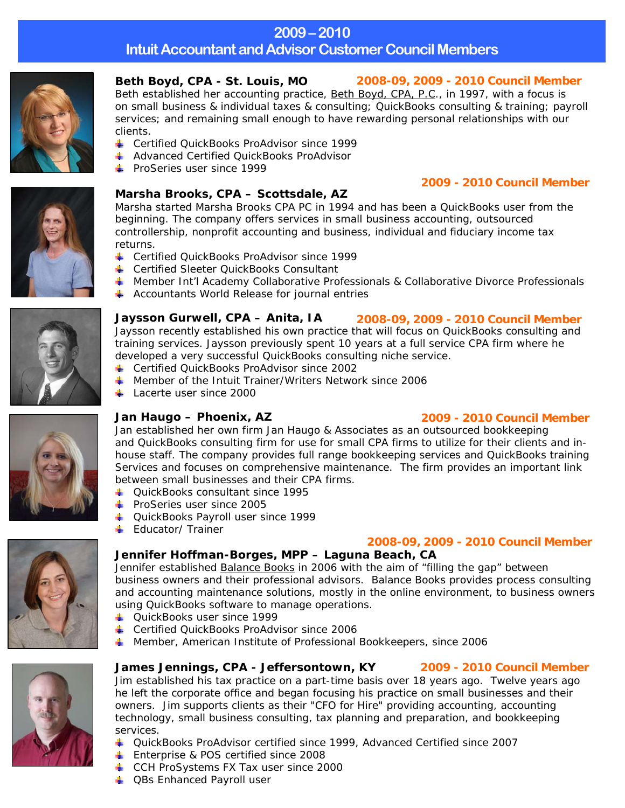## **2009–2010**

**Intuit Accountant and Advisor Customer Council Members** 



Beth established her accounting practice, Beth Boyd, CPA, P.C., in 1997, with a focus is on small business & individual taxes & consulting; QuickBooks consulting & training; payroll services; and remaining small enough to have rewarding personal relationships with our clients.

- **↓** Certified QuickBooks ProAdvisor since 1999
- **A** Advanced Certified QuickBooks ProAdvisor
- $\textcolor{red}{\div}$  ProSeries user since 1999

### **Marsha Brooks, CPA – Scottsdale, AZ**

Marsha started Marsha Brooks CPA PC in 1994 and has been a QuickBooks user from the beginning. The company offers services in small business accounting, outsourced controllership, nonprofit accounting and business, individual and fiduciary income tax returns.

- **↓** Certified OuickBooks ProAdvisor since 1999
- **↓** Certified Sleeter QuickBooks Consultant
- **L** Member Int'l Academy Collaborative Professionals & Collaborative Divorce Professionals
- $\overline{\phantom{a}}$  Accountants World Release for journal entries

**Jaysson Gurwell, CPA – Anita, IA**  Jaysson recently established his own practice that will focus on QuickBooks consulting and training services. Jaysson previously spent 10 years at a full service CPA firm where he developed a very successful QuickBooks consulting niche service. *2008-09, 2009 - 2010 Council Member* 

- **↓** Certified QuickBooks ProAdvisor since 2002
- $\pm$  Member of the Intuit Trainer/Writers Network since 2006
- $\pm$  Lacerte user since 2000

### **Jan Haugo – Phoenix, AZ**

### *2009 - 2010 Council Member*

*2009 - 2010 Council Member*

Jan established her own firm Jan Haugo & Associates as an outsourced bookkeeping and QuickBooks consulting firm for use for small CPA firms to utilize for their clients and inhouse staff. The company provides full range bookkeeping services and QuickBooks training Services and focuses on comprehensive maintenance. The firm provides an important link between small businesses and their CPA firms.

- ۰. QuickBooks consultant since 1995
- $\leftarrow$  ProSeries user since 2005
- QuickBooks Payroll user since 1999
- **Educator/ Trainer**

### *2008-09, 2009 - 2010 Council Member*

### **Jennifer Hoffman-Borges, MPP – Laguna Beach, CA**

Jennifer established Balance Books in 2006 with the aim of "filling the gap" between business owners and their professional advisors. Balance Books provides process consulting and accounting maintenance solutions, mostly in the online environment, to business owners using QuickBooks software to manage operations.

- ↓ QuickBooks user since 1999
- **↓** Certified QuickBooks ProAdvisor since 2006
- Member, American Institute of Professional Bookkeepers, since 2006

### **James Jennings, CPA - Jeffersontown, KY**  *2009 - 2010 Council Member*

Jim established his tax practice on a part-time basis over 18 years ago. Twelve years ago he left the corporate office and began focusing his practice on small businesses and their owners. Jim supports clients as their "CFO for Hire" providing accounting, accounting technology, small business consulting, tax planning and preparation, and bookkeeping services.

- QuickBooks ProAdvisor certified since 1999, Advanced Certified since 2007
- **Enterprise & POS certified since 2008**
- CCH ProSystems FX Tax user since 2000
- **↓** QBs Enhanced Payroll user







### **Beth Boyd, CPA - St. Louis, MO** *2008-09, 2009 - 2010 Council Member*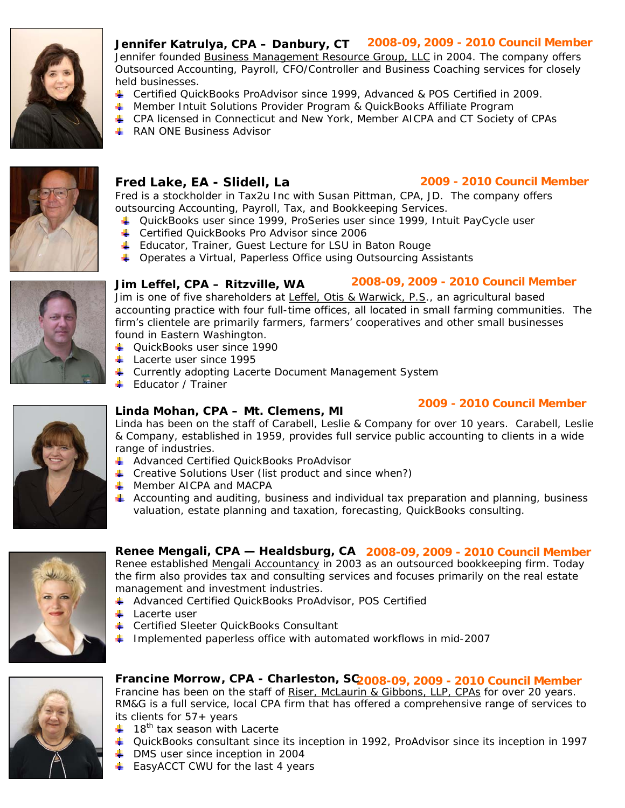

**Jennifer Katrulya, CPA – Danbury, CT**  *2008-09, 2009 - 2010 Council Member* Jennifer founded Business Management Resource Group, LLC in 2004. The company offers Outsourced Accounting, Payroll, CFO/Controller and Business Coaching services for closely held businesses.

- Certified QuickBooks ProAdvisor since 1999, Advanced & POS Certified in 2009.
- **4** Member Intuit Solutions Provider Program & QuickBooks Affiliate Program
- CPA licensed in Connecticut and New York, Member AICPA and CT Society of CPAs
- **RAN ONE Business Advisor**



### **Fred Lake, EA - Slidell, La**

### *2009 - 2010 Council Member*

Fred is a stockholder in Tax2u Inc with Susan Pittman, CPA, JD. The company offers outsourcing Accounting, Payroll, Tax, and Bookkeeping Services.

- QuickBooks user since 1999, ProSeries user since 1999, Intuit PayCycle user
- **↓** Certified QuickBooks Pro Advisor since 2006
- **Educator, Trainer, Guest Lecture for LSU in Baton Rouge**
- ↓ Operates a Virtual, Paperless Office using Outsourcing Assistants



### **Jim Leffel, CPA – Ritzville, WA** *2008-09, 2009 - 2010 Council Member*

Jim is one of five shareholders at Leffel, Otis & Warwick, P.S., an agricultural based accounting practice with four full-time offices, all located in small farming communities. The firm's clientele are primarily farmers, farmers' cooperatives and other small businesses found in Eastern Washington.

- QuickBooks user since 1990
- **Lacerte user since 1995**
- ↓ Currently adopting Lacerte Document Management System
- **Educator / Trainer**

# *2009 - 2010 Council Member* **Linda Mohan, CPA – Mt. Clemens, MI**

Linda has been on the staff of Carabell, Leslie & Company for over 10 years. Carabell, Leslie & Company, established in 1959, provides full service public accounting to clients in a wide range of industries.

- Advanced Certified QuickBooks ProAdvisor
- $\downarrow$  Creative Solutions User (list product and since when?)
- **Member AICPA and MACPA**
- $\downarrow$  Accounting and auditing, business and individual tax preparation and planning, business valuation, estate planning and taxation, forecasting, QuickBooks consulting.



### **Renee Mengali, CPA — Healdsburg, CA** *2008-09, 2009 - 2010 Council Member*

Renee established Mengali Accountancy in 2003 as an outsourced bookkeeping firm. Today the firm also provides tax and consulting services and focuses primarily on the real estate management and investment industries.

- Advanced Certified QuickBooks ProAdvisor, POS Certified
- $\blacksquare$  Lacerte user
- **E** Certified Sleeter QuickBooks Consultant
- Implemented paperless office with automated workflows in mid-2007



### **Francine Morrow, CPA - Charleston, SC** *2008-09, 2009 - 2010 Council Member*

Francine has been on the staff of Riser, McLaurin & Gibbons, LLP, CPAs for over 20 years. RM&G is a full service, local CPA firm that has offered a comprehensive range of services to its clients for 57+ years

- $\pm$  18<sup>th</sup> tax season with Lacerte
- 4 QuickBooks consultant since its inception in 1992, ProAdvisor since its inception in 1997
- $\overline{\phantom{a}}$  DMS user since inception in 2004
- $\overline{\phantom{a}}$  EasyACCT CWU for the last 4 years